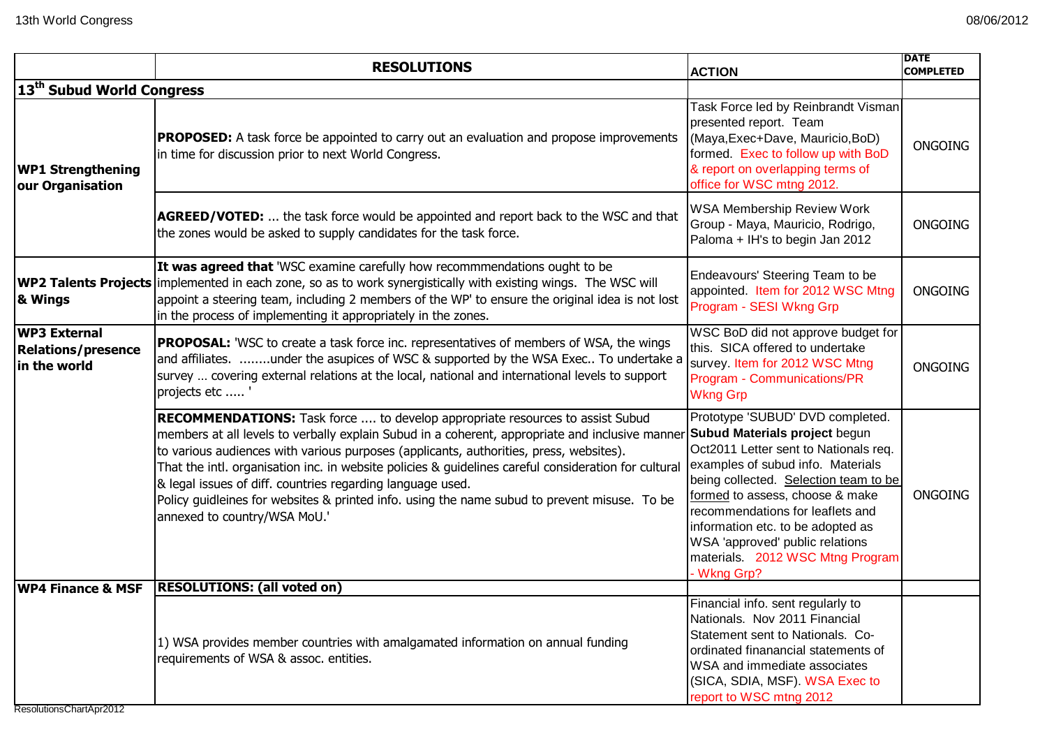|                                                           | <b>RESOLUTIONS</b>                                                                                                                                                                                                                                                                                                                                                                                                                                                                                                                                                                      | <b>ACTION</b>                                                                                                                                                                                                                                                                                                                                                                                   | <b>DATE</b><br><b>COMPLETED</b> |
|-----------------------------------------------------------|-----------------------------------------------------------------------------------------------------------------------------------------------------------------------------------------------------------------------------------------------------------------------------------------------------------------------------------------------------------------------------------------------------------------------------------------------------------------------------------------------------------------------------------------------------------------------------------------|-------------------------------------------------------------------------------------------------------------------------------------------------------------------------------------------------------------------------------------------------------------------------------------------------------------------------------------------------------------------------------------------------|---------------------------------|
| 13 <sup>th</sup> Subud World Congress                     |                                                                                                                                                                                                                                                                                                                                                                                                                                                                                                                                                                                         |                                                                                                                                                                                                                                                                                                                                                                                                 |                                 |
| <b>WP1 Strengthening</b><br>our Organisation              | <b>PROPOSED:</b> A task force be appointed to carry out an evaluation and propose improvements<br>in time for discussion prior to next World Congress.                                                                                                                                                                                                                                                                                                                                                                                                                                  | Task Force led by Reinbrandt Visman<br>presented report. Team<br>(Maya, Exec+Dave, Mauricio, BoD)<br>formed. Exec to follow up with BoD<br>& report on overlapping terms of<br>office for WSC mtng 2012.                                                                                                                                                                                        | <b>ONGOING</b>                  |
|                                                           | <b>AGREED/VOTED:</b> the task force would be appointed and report back to the WSC and that<br>the zones would be asked to supply candidates for the task force.                                                                                                                                                                                                                                                                                                                                                                                                                         | <b>WSA Membership Review Work</b><br>Group - Maya, Mauricio, Rodrigo,<br>Paloma + IH's to begin Jan 2012                                                                                                                                                                                                                                                                                        | <b>ONGOING</b>                  |
| & Wings                                                   | It was agreed that 'WSC examine carefully how recommmendations ought to be<br><b>WP2 Talents Projects</b> implemented in each zone, so as to work synergistically with existing wings. The WSC will<br>appoint a steering team, including 2 members of the WP' to ensure the original idea is not lost<br>in the process of implementing it appropriately in the zones.                                                                                                                                                                                                                 | Endeavours' Steering Team to be<br>appointed. Item for 2012 WSC Mtng<br>Program - SESI Wkng Grp                                                                                                                                                                                                                                                                                                 | <b>ONGOING</b>                  |
| WP3 External<br><b>Relations/presence</b><br>in the world | <b>PROPOSAL:</b> 'WSC to create a task force inc. representatives of members of WSA, the wings<br>and affiliates. under the asupices of WSC & supported by the WSA Exec To undertake a<br>survey  covering external relations at the local, national and international levels to support<br>projects etc '                                                                                                                                                                                                                                                                              | WSC BoD did not approve budget for<br>this. SICA offered to undertake<br>survey. Item for 2012 WSC Mtng<br>Program - Communications/PR<br><b>Wkng Grp</b>                                                                                                                                                                                                                                       | <b>ONGOING</b>                  |
|                                                           | <b>RECOMMENDATIONS:</b> Task force  to develop appropriate resources to assist Subud<br>members at all levels to verbally explain Subud in a coherent, appropriate and inclusive manner<br>to various audiences with various purposes (applicants, authorities, press, websites).<br>That the intl. organisation inc. in website policies & guidelines careful consideration for cultural<br>& legal issues of diff. countries regarding language used.<br>Policy guidleines for websites & printed info. using the name subud to prevent misuse. To be<br>annexed to country/WSA MoU.' | Prototype 'SUBUD' DVD completed.<br><b>Subud Materials project begun</b><br>Oct2011 Letter sent to Nationals req.<br>examples of subud info. Materials<br>being collected. Selection team to be<br>formed to assess, choose & make<br>recommendations for leaflets and<br>information etc. to be adopted as<br>WSA 'approved' public relations<br>materials. 2012 WSC Mtng Program<br>Wkng Grp? | <b>ONGOING</b>                  |
| <b>WP4 Finance &amp; MSF</b>                              | <b>RESOLUTIONS: (all voted on)</b>                                                                                                                                                                                                                                                                                                                                                                                                                                                                                                                                                      |                                                                                                                                                                                                                                                                                                                                                                                                 |                                 |
|                                                           | 1) WSA provides member countries with amalgamated information on annual funding<br>requirements of WSA & assoc. entities.                                                                                                                                                                                                                                                                                                                                                                                                                                                               | Financial info. sent regularly to<br>Nationals. Nov 2011 Financial<br>Statement sent to Nationals. Co-<br>ordinated finanancial statements of<br>WSA and immediate associates<br>(SICA, SDIA, MSF). WSA Exec to<br>report to WSC mtng 2012                                                                                                                                                      |                                 |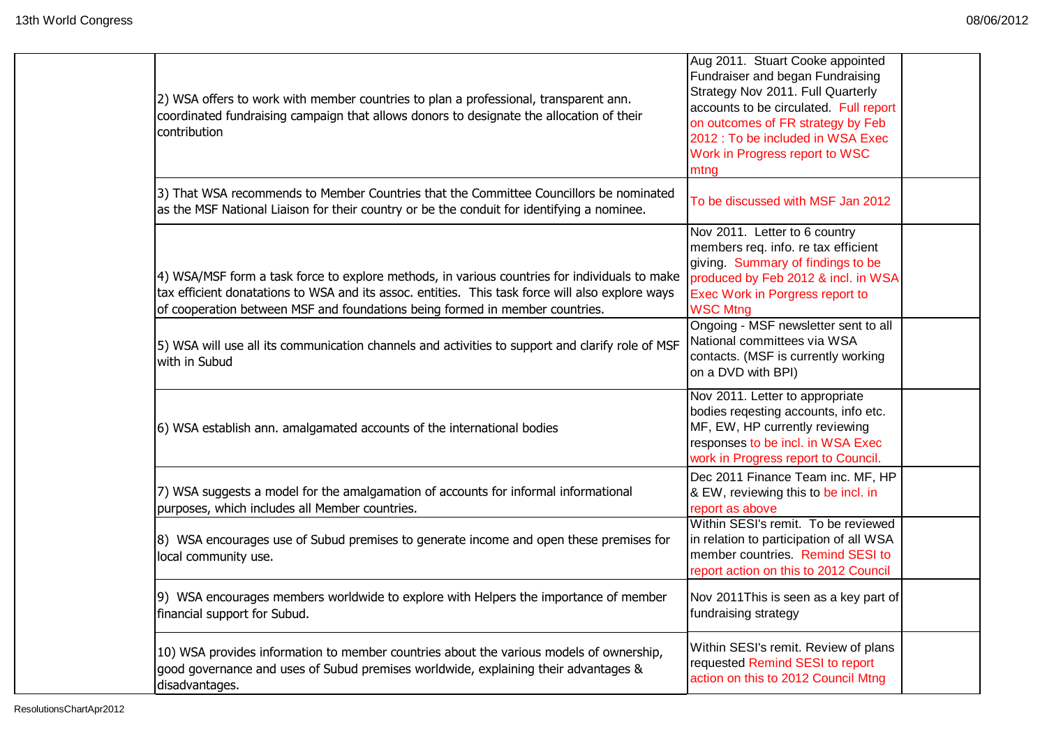| 2) WSA offers to work with member countries to plan a professional, transparent ann.<br>coordinated fundraising campaign that allows donors to designate the allocation of their<br>contribution                                                                                  | Aug 2011. Stuart Cooke appointed<br>Fundraiser and began Fundraising<br>Strategy Nov 2011. Full Quarterly<br>accounts to be circulated. Full report<br>on outcomes of FR strategy by Feb<br>2012 : To be included in WSA Exec<br>Work in Progress report to WSC<br>mtng |  |
|-----------------------------------------------------------------------------------------------------------------------------------------------------------------------------------------------------------------------------------------------------------------------------------|-------------------------------------------------------------------------------------------------------------------------------------------------------------------------------------------------------------------------------------------------------------------------|--|
| 3) That WSA recommends to Member Countries that the Committee Councillors be nominated<br>as the MSF National Liaison for their country or be the conduit for identifying a nominee.                                                                                              | To be discussed with MSF Jan 2012                                                                                                                                                                                                                                       |  |
| 4) WSA/MSF form a task force to explore methods, in various countries for individuals to make<br>tax efficient donatations to WSA and its assoc. entities. This task force will also explore ways<br>of cooperation between MSF and foundations being formed in member countries. | Nov 2011. Letter to 6 country<br>members req. info. re tax efficient<br>giving Summary of findings to be<br>produced by Feb 2012 & incl. in WSA<br>Exec Work in Porgress report to<br><b>WSC Mtng</b>                                                                   |  |
| 5) WSA will use all its communication channels and activities to support and clarify role of MSF<br>with in Subud                                                                                                                                                                 | Ongoing - MSF newsletter sent to all<br>National committees via WSA<br>contacts. (MSF is currently working<br>on a DVD with BPI)                                                                                                                                        |  |
| 6) WSA establish ann. amalgamated accounts of the international bodies                                                                                                                                                                                                            | Nov 2011. Letter to appropriate<br>bodies reqesting accounts, info etc.<br>MF, EW, HP currently reviewing<br>responses to be incl. in WSA Exec<br>work in Progress report to Council.                                                                                   |  |
| 7) WSA suggests a model for the amalgamation of accounts for informal informational<br>purposes, which includes all Member countries.                                                                                                                                             | Dec 2011 Finance Team inc. MF, HP<br>& EW, reviewing this to be incl. in<br>report as above                                                                                                                                                                             |  |
| 8) WSA encourages use of Subud premises to generate income and open these premises for<br>local community use.                                                                                                                                                                    | Within SESI's remit. To be reviewed<br>in relation to participation of all WSA<br>member countries. Remind SESI to<br>report action on this to 2012 Council                                                                                                             |  |
| 9) WSA encourages members worldwide to explore with Helpers the importance of member<br>financial support for Subud.                                                                                                                                                              | Nov 2011 This is seen as a key part of<br>fundraising strategy                                                                                                                                                                                                          |  |
| 10) WSA provides information to member countries about the various models of ownership,<br>good governance and uses of Subud premises worldwide, explaining their advantages &<br>disadvantages.                                                                                  | Within SESI's remit. Review of plans<br>requested Remind SESI to report<br>action on this to 2012 Council Mtng                                                                                                                                                          |  |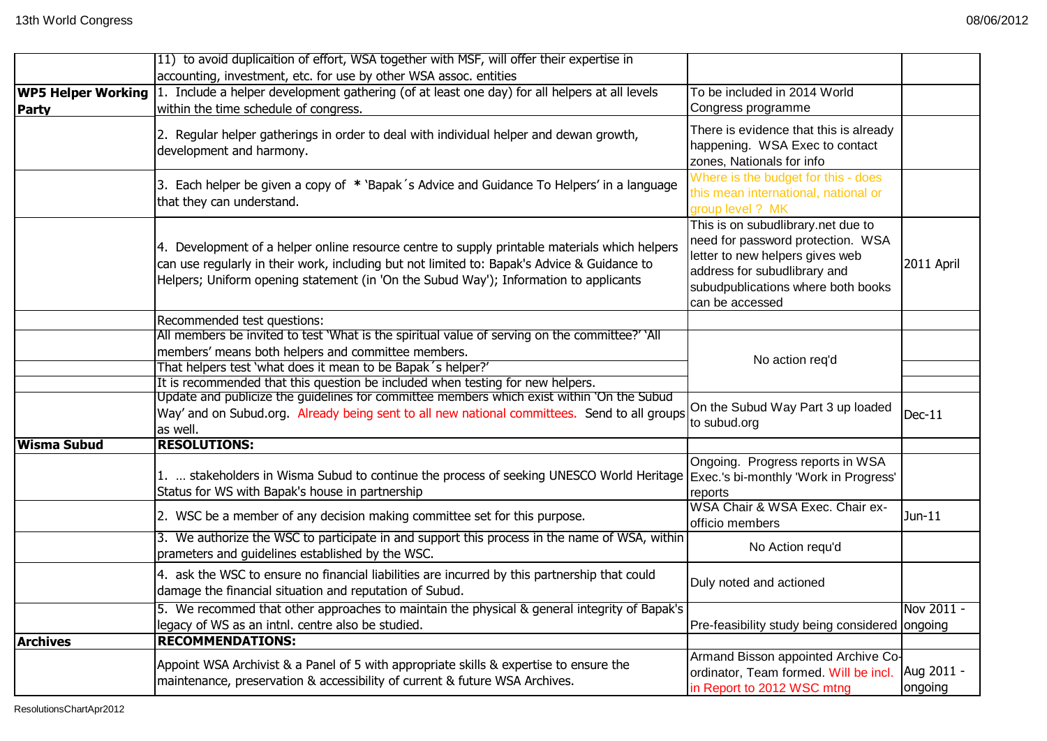|                    | [11] to avoid duplicaition of effort, WSA together with MSF, will offer their expertise in                                                                                                                                                                                                                                           |                                                                                                                                                                                                     |                       |
|--------------------|--------------------------------------------------------------------------------------------------------------------------------------------------------------------------------------------------------------------------------------------------------------------------------------------------------------------------------------|-----------------------------------------------------------------------------------------------------------------------------------------------------------------------------------------------------|-----------------------|
|                    | accounting, investment, etc. for use by other WSA assoc. entities                                                                                                                                                                                                                                                                    |                                                                                                                                                                                                     |                       |
| Party              | <b>WP5 Helper Working</b> 1. Include a helper development gathering (of at least one day) for all helpers at all levels<br>within the time schedule of congress.                                                                                                                                                                     | To be included in 2014 World<br>Congress programme                                                                                                                                                  |                       |
|                    | 2. Regular helper gatherings in order to deal with individual helper and dewan growth,<br>development and harmony.                                                                                                                                                                                                                   | There is evidence that this is already<br>happening. WSA Exec to contact<br>zones, Nationals for info                                                                                               |                       |
|                    | 3. Each helper be given a copy of * 'Bapak's Advice and Guidance To Helpers' in a language<br>that they can understand.                                                                                                                                                                                                              | Where is the budget for this - does<br>this mean international, national or<br>group level ? MK                                                                                                     |                       |
|                    | 4. Development of a helper online resource centre to supply printable materials which helpers<br>can use regularly in their work, including but not limited to: Bapak's Advice & Guidance to<br>Helpers; Uniform opening statement (in 'On the Subud Way'); Information to applicants                                                | This is on subudlibrary.net due to<br>need for password protection. WSA<br>letter to new helpers gives web<br>address for subudlibrary and<br>subudpublications where both books<br>can be accessed | 2011 April            |
|                    | Recommended test questions:<br>All members be invited to test 'What is the spiritual value of serving on the committee?' 'All<br>members' means both helpers and committee members.<br>That helpers test 'what does it mean to be Bapak's helper?'<br>It is recommended that this question be included when testing for new helpers. | No action req'd                                                                                                                                                                                     |                       |
|                    | Update and publicize the guidelines for committee members which exist within 'On the Subud<br>Way' and on Subud.org. Already being sent to all new national committees. Send to all groups<br>as well.                                                                                                                               | On the Subud Way Part 3 up loaded<br>to subud.org                                                                                                                                                   | $Dec-11$              |
| <b>Wisma Subud</b> | <b>RESOLUTIONS:</b>                                                                                                                                                                                                                                                                                                                  |                                                                                                                                                                                                     |                       |
|                    | 1.  stakeholders in Wisma Subud to continue the process of seeking UNESCO World Heritage  Exec.'s bi-monthly 'Work in Progress'<br>Status for WS with Bapak's house in partnership                                                                                                                                                   | Ongoing. Progress reports in WSA<br>reports                                                                                                                                                         |                       |
|                    | 2. WSC be a member of any decision making committee set for this purpose.                                                                                                                                                                                                                                                            | WSA Chair & WSA Exec. Chair ex-<br>officio members                                                                                                                                                  | Jun-11                |
|                    | 3. We authorize the WSC to participate in and support this process in the name of WSA, within<br>prameters and guidelines established by the WSC.                                                                                                                                                                                    | No Action requ'd                                                                                                                                                                                    |                       |
|                    | 4. ask the WSC to ensure no financial liabilities are incurred by this partnership that could<br>damage the financial situation and reputation of Subud.                                                                                                                                                                             | Duly noted and actioned                                                                                                                                                                             |                       |
|                    | 5. We recommed that other approaches to maintain the physical & general integrity of Bapak's<br>legacy of WS as an intnl. centre also be studied.                                                                                                                                                                                    | Pre-feasibility study being considered ongoing                                                                                                                                                      | Nov 2011 -            |
| <b>Archives</b>    | <b>RECOMMENDATIONS:</b>                                                                                                                                                                                                                                                                                                              |                                                                                                                                                                                                     |                       |
|                    | Appoint WSA Archivist & a Panel of 5 with appropriate skills & expertise to ensure the<br>maintenance, preservation & accessibility of current & future WSA Archives.                                                                                                                                                                | Armand Bisson appointed Archive Co-<br>ordinator, Team formed. Will be incl.<br>in Report to 2012 WSC mtng                                                                                          | Aug 2011 -<br>ongoing |